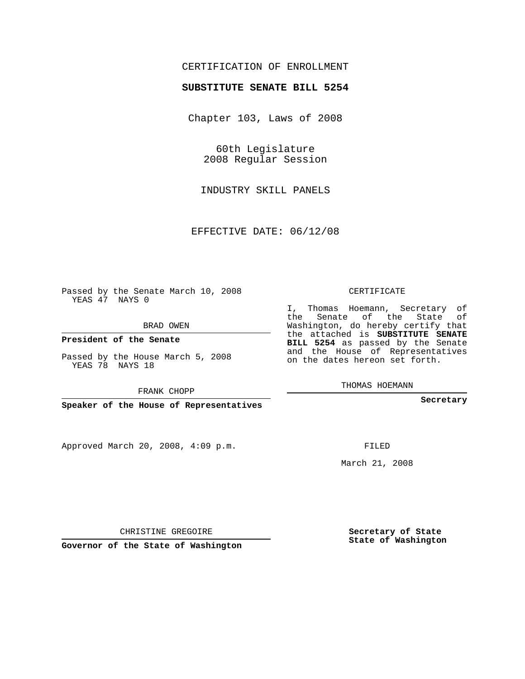## CERTIFICATION OF ENROLLMENT

#### **SUBSTITUTE SENATE BILL 5254**

Chapter 103, Laws of 2008

60th Legislature 2008 Regular Session

INDUSTRY SKILL PANELS

EFFECTIVE DATE: 06/12/08

Passed by the Senate March 10, 2008 YEAS 47 NAYS 0

BRAD OWEN

**President of the Senate**

Passed by the House March 5, 2008 YEAS 78 NAYS 18

FRANK CHOPP

**Speaker of the House of Representatives**

Approved March 20, 2008, 4:09 p.m.

CERTIFICATE

I, Thomas Hoemann, Secretary of the Senate of the State of Washington, do hereby certify that the attached is **SUBSTITUTE SENATE BILL 5254** as passed by the Senate and the House of Representatives on the dates hereon set forth.

THOMAS HOEMANN

**Secretary**

FILED

March 21, 2008

**Secretary of State State of Washington**

CHRISTINE GREGOIRE

**Governor of the State of Washington**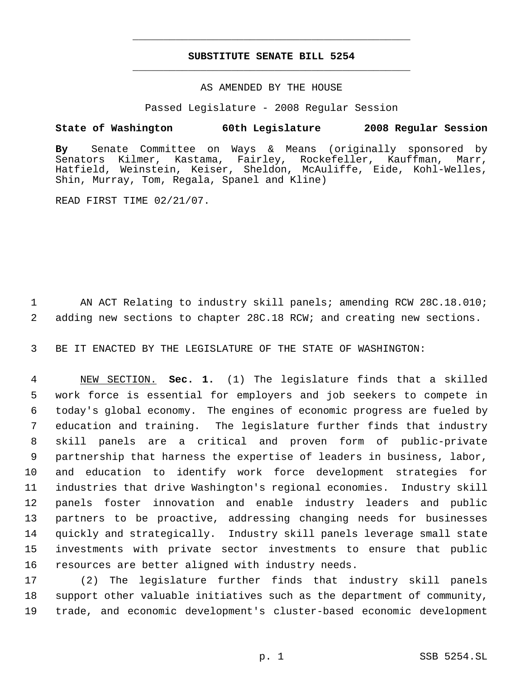# **SUBSTITUTE SENATE BILL 5254** \_\_\_\_\_\_\_\_\_\_\_\_\_\_\_\_\_\_\_\_\_\_\_\_\_\_\_\_\_\_\_\_\_\_\_\_\_\_\_\_\_\_\_\_\_

\_\_\_\_\_\_\_\_\_\_\_\_\_\_\_\_\_\_\_\_\_\_\_\_\_\_\_\_\_\_\_\_\_\_\_\_\_\_\_\_\_\_\_\_\_

## AS AMENDED BY THE HOUSE

Passed Legislature - 2008 Regular Session

## **State of Washington 60th Legislature 2008 Regular Session**

**By** Senate Committee on Ways & Means (originally sponsored by Senators Kilmer, Kastama, Fairley, Rockefeller, Kauffman, Marr, Hatfield, Weinstein, Keiser, Sheldon, McAuliffe, Eide, Kohl-Welles, Shin, Murray, Tom, Regala, Spanel and Kline)

READ FIRST TIME 02/21/07.

 AN ACT Relating to industry skill panels; amending RCW 28C.18.010; adding new sections to chapter 28C.18 RCW; and creating new sections.

BE IT ENACTED BY THE LEGISLATURE OF THE STATE OF WASHINGTON:

 NEW SECTION. **Sec. 1.** (1) The legislature finds that a skilled work force is essential for employers and job seekers to compete in today's global economy. The engines of economic progress are fueled by education and training. The legislature further finds that industry skill panels are a critical and proven form of public-private partnership that harness the expertise of leaders in business, labor, and education to identify work force development strategies for industries that drive Washington's regional economies. Industry skill panels foster innovation and enable industry leaders and public partners to be proactive, addressing changing needs for businesses quickly and strategically. Industry skill panels leverage small state investments with private sector investments to ensure that public resources are better aligned with industry needs.

 (2) The legislature further finds that industry skill panels support other valuable initiatives such as the department of community, trade, and economic development's cluster-based economic development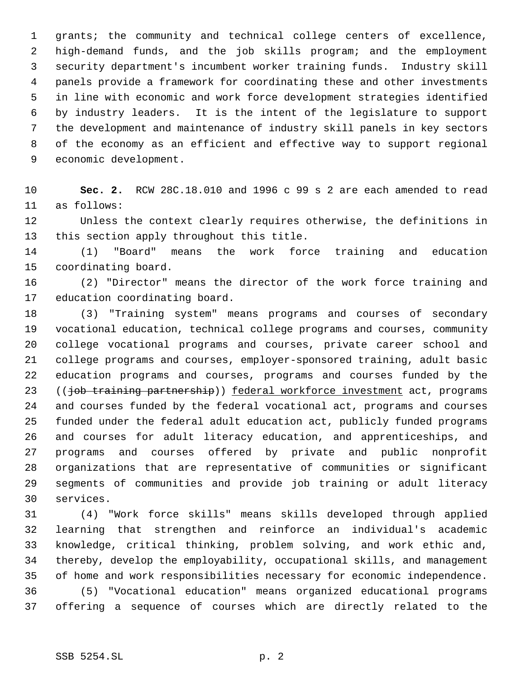grants; the community and technical college centers of excellence, high-demand funds, and the job skills program; and the employment security department's incumbent worker training funds. Industry skill panels provide a framework for coordinating these and other investments in line with economic and work force development strategies identified by industry leaders. It is the intent of the legislature to support the development and maintenance of industry skill panels in key sectors of the economy as an efficient and effective way to support regional economic development.

 **Sec. 2.** RCW 28C.18.010 and 1996 c 99 s 2 are each amended to read as follows:

 Unless the context clearly requires otherwise, the definitions in this section apply throughout this title.

 (1) "Board" means the work force training and education coordinating board.

 (2) "Director" means the director of the work force training and education coordinating board.

 (3) "Training system" means programs and courses of secondary vocational education, technical college programs and courses, community college vocational programs and courses, private career school and college programs and courses, employer-sponsored training, adult basic education programs and courses, programs and courses funded by the 23 ((job training partnership)) federal workforce investment act, programs and courses funded by the federal vocational act, programs and courses funded under the federal adult education act, publicly funded programs and courses for adult literacy education, and apprenticeships, and programs and courses offered by private and public nonprofit organizations that are representative of communities or significant segments of communities and provide job training or adult literacy services.

 (4) "Work force skills" means skills developed through applied learning that strengthen and reinforce an individual's academic knowledge, critical thinking, problem solving, and work ethic and, thereby, develop the employability, occupational skills, and management of home and work responsibilities necessary for economic independence. (5) "Vocational education" means organized educational programs offering a sequence of courses which are directly related to the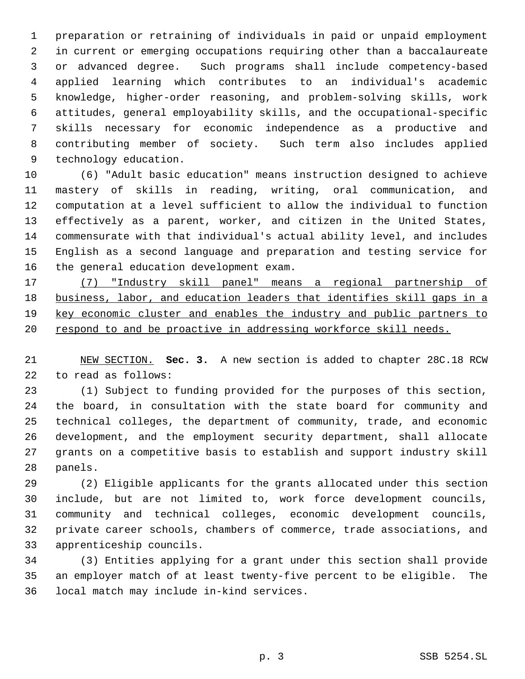preparation or retraining of individuals in paid or unpaid employment in current or emerging occupations requiring other than a baccalaureate or advanced degree. Such programs shall include competency-based applied learning which contributes to an individual's academic knowledge, higher-order reasoning, and problem-solving skills, work attitudes, general employability skills, and the occupational-specific skills necessary for economic independence as a productive and contributing member of society. Such term also includes applied technology education.

 (6) "Adult basic education" means instruction designed to achieve mastery of skills in reading, writing, oral communication, and computation at a level sufficient to allow the individual to function effectively as a parent, worker, and citizen in the United States, commensurate with that individual's actual ability level, and includes English as a second language and preparation and testing service for the general education development exam.

 (7) "Industry skill panel" means a regional partnership of 18 business, labor, and education leaders that identifies skill gaps in a key economic cluster and enables the industry and public partners to 20 respond to and be proactive in addressing workforce skill needs.

 NEW SECTION. **Sec. 3.** A new section is added to chapter 28C.18 RCW to read as follows:

 (1) Subject to funding provided for the purposes of this section, the board, in consultation with the state board for community and technical colleges, the department of community, trade, and economic development, and the employment security department, shall allocate grants on a competitive basis to establish and support industry skill panels.

 (2) Eligible applicants for the grants allocated under this section include, but are not limited to, work force development councils, community and technical colleges, economic development councils, private career schools, chambers of commerce, trade associations, and apprenticeship councils.

 (3) Entities applying for a grant under this section shall provide an employer match of at least twenty-five percent to be eligible. The local match may include in-kind services.